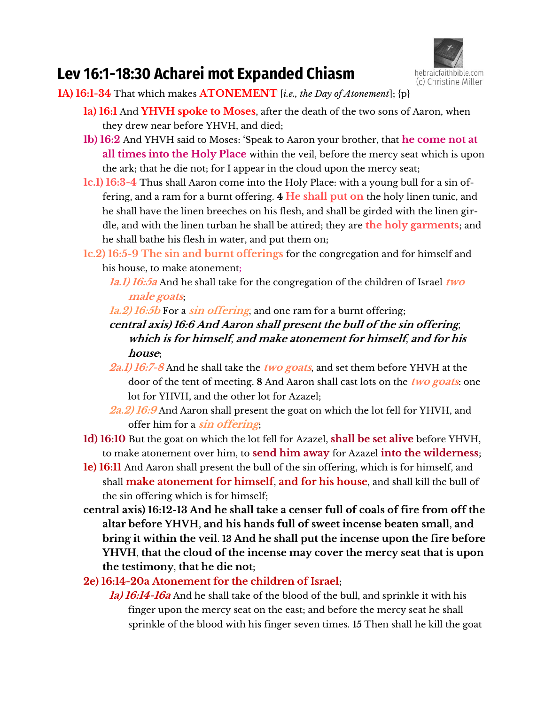

# **Lev 16:1-18:30 Acharei mot Expanded Chiasm**

**1A) 16:1-34** That which makes **ATONEMENT** [*i.e., the Day of Atonement*]; {p}

- **1a) 16:1** And **YHVH spoke to Moses**, after the death of the two sons of Aaron, when they drew near before YHVH, and died;
- **1b) 16:2** And YHVH said to Moses: 'Speak to Aaron your brother, that **he come not at all times into the Holy Place** within the veil, before the mercy seat which is upon the ark; that he die not; for I appear in the cloud upon the mercy seat;
- **1c.1) 16:3-4** Thus shall Aaron come into the Holy Place: with a young bull for a sin offering, and a ram for a burnt offering. **4 He shall put on** the holy linen tunic, and he shall have the linen breeches on his flesh, and shall be girded with the linen girdle, and with the linen turban he shall be attired; they are **the holy garments**; and he shall bathe his flesh in water, and put them on;
- **1c.2) 16:5-9 The sin and burnt offerings** for the congregation and for himself and his house, to make atonement**;**
	- **1a.1) 16:5a** And he shall take for the congregation of the children of Israel **two male goats**;
	- **1a.2) 16:5b** For a **sin offering**, and one ram for a burnt offering;
	- **central axis) 16:6 And Aaron shall present the bull of the sin offering**, **which is for himself**, **and make atonement for himself**, **and for his house**;
	- **2a.1) 16:7-8** And he shall take the **two goats**, and set them before YHVH at the door of the tent of meeting. **8** And Aaron shall cast lots on the **two goats**: one lot for YHVH, and the other lot for Azazel;
	- **2a.2) 16:9** And Aaron shall present the goat on which the lot fell for YHVH, and offer him for a **sin offering**;
- **1d) 16:10** But the goat on which the lot fell for Azazel, **shall be set alive** before YHVH, to make atonement over him, to **send him away** for Azazel **into the wilderness**;
- **1e) 16:11** And Aaron shall present the bull of the sin offering, which is for himself, and shall **make atonement for himself**, **and for his house**, and shall kill the bull of the sin offering which is for himself;
- **central axis) 16:12-13 And he shall take a censer full of coals of fire from off the altar before YHVH**, **and his hands full of sweet incense beaten small**, **and bring it within the veil**. **13 And he shall put the incense upon the fire before YHVH**, **that the cloud of the incense may cover the mercy seat that is upon the testimony**, **that he die not**;
- **2e) 16:14-20a Atonement for the children of Israel**;
	- **1a) 16:14-16a** And he shall take of the blood of the bull, and sprinkle it with his finger upon the mercy seat on the east; and before the mercy seat he shall sprinkle of the blood with his finger seven times. **15** Then shall he kill the goat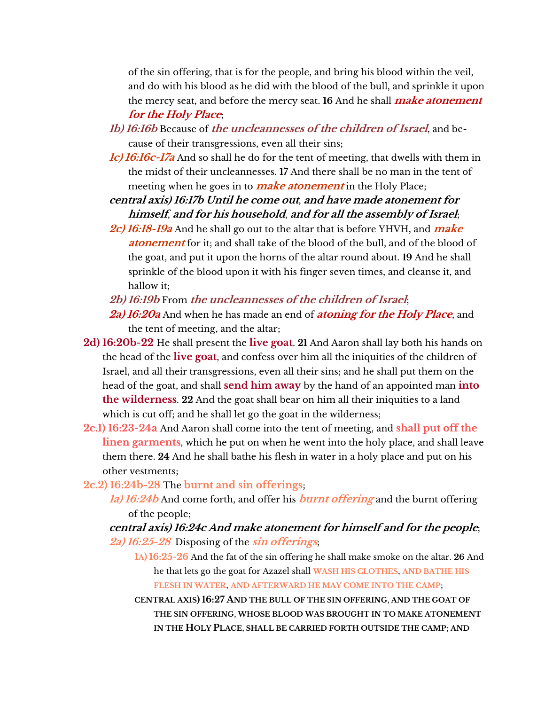of the sin offering, that is for the people, and bring his blood within the veil, and do with his blood as he did with the blood of the bull, and sprinkle it upon the mercy seat, and before the mercy seat. **16** And he shall **make atonement for the Holy Place**;

- **1b) 16:16b** Because of **the uncleannesses of the children of Israel**, and because of their transgressions, even all their sins;
- **1c) 16:16c-17a** And so shall he do for the tent of meeting, that dwells with them in the midst of their uncleannesses. **17** And there shall be no man in the tent of meeting when he goes in to **make atonement** in the Holy Place;

**central axis) 16:17b Until he come out**, **and have made atonement for himself**, **and for his household**, **and for all the assembly of Israel**;

- **2c) 16:18-19a** And he shall go out to the altar that is before YHVH, and **make atonement** for it; and shall take of the blood of the bull, and of the blood of the goat, and put it upon the horns of the altar round about. **19** And he shall sprinkle of the blood upon it with his finger seven times, and cleanse it, and hallow it;
- **2b) 16:19b** From **the uncleannesses of the children of Israel**;
- **2a) 16:20a** And when he has made an end of **atoning for the Holy Place**, and the tent of meeting, and the altar;
- **2d) 16:20b-22** He shall present the **live goat**. **21** And Aaron shall lay both his hands on the head of the **live goat**, and confess over him all the iniquities of the children of Israel, and all their transgressions, even all their sins; and he shall put them on the head of the goat, and shall **send him away** by the hand of an appointed man **into the wilderness**. **22** And the goat shall bear on him all their iniquities to a land which is cut off; and he shall let go the goat in the wilderness;
- **2c.1) 16:23-24a** And Aaron shall come into the tent of meeting, and **shall put off the linen garments**, which he put on when he went into the holy place, and shall leave them there. **24** And he shall bathe his flesh in water in a holy place and put on his other vestments;
- **2c.2) 16:24b-28** The **burnt and sin offerings**;
	- **1a) 16:24b** And come forth, and offer his **burnt offering** and the burnt offering of the people;

**central axis) 16:24c And make atonement for himself and for the people**; **2a) 16:25-28** Disposing of the **sin offerings**;

**1A) 16:25-26** And the fat of the sin offering he shall make smoke on the altar. **26** And he that lets go the goat for Azazel shall **WASH HIS CLOTHES**, **AND BATHE HIS FLESH IN WATER**, **AND AFTERWARD HE MAY COME INTO THE CAMP**;

**CENTRAL AXIS) 16:27 AND THE BULL OF THE SIN OFFERING**, **AND THE GOAT OF THE SIN OFFERING**, **WHOSE BLOOD WAS BROUGHT IN TO MAKE ATONEMENT IN THE HOLY PLACE**, **SHALL BE CARRIED FORTH OUTSIDE THE CAMP**; **AND**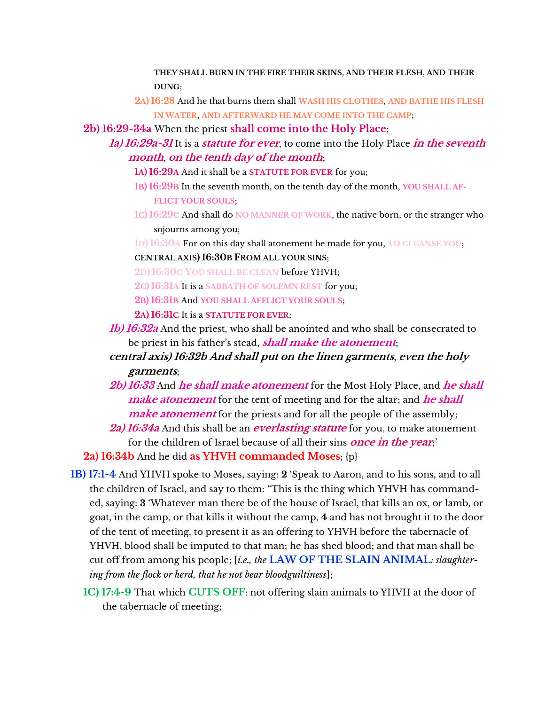**THEY SHALL BURN IN THE FIRE THEIR SKINS**, **AND THEIR FLESH**, **AND THEIR DUNG**;

**2A) 16:28** And he that burns them shall **WASH HIS CLOTHES**, **AND BATHE HIS FLESH IN WATER**, **AND AFTERWARD HE MAY COME INTO THE CAMP**;

**2b) 16:29-34a** When the priest **shall come into the Holy Place**;

- **1a) 16:29a-31** It is a **statute for ever**, to come into the Holy Place **in the seventh month**, **on the tenth day of the month**;
	- **1A) 16:29A** And it shall be a **STATUTE FOR EVER** for you;
	- **1B) 16:29B** In the seventh month**,** on the tenth day of the month, **YOU SHALL AF-FLICT YOUR SOULS**;
	- **1C) 16:29C** And shall do **NO MANNER OF WORK**, the native born, or the stranger who sojourns among you;
	- **1D) 16:30A** For on this day shall atonement be made for you, **TO CLEANSE YOU**; **CENTRAL AXIS) 16:30B FROM ALL YOUR SINS**;

**2D) 16:30C YOU SHALL BE CLEAN** before YHVH;

**2C) 16:31A** It is a **SABBATH OF SOLEMN REST** for you;

**2B) 16:31B** And **YOU SHALL AFFLICT YOUR SOULS**;

**2A) 16:31C** It is a **STATUTE FOR EVER**;

- **1b) 16:32a** And the priest, who shall be anointed and who shall be consecrated to be priest in his father's stead, *shall make the atonement*;
- **central axis) 16:32b And shall put on the linen garments**, **even the holy garments**;
- **2b) 16:33** And **he shall make atonement** for the Most Holy Place, and **he shall make atonement** for the tent of meeting and for the altar; and **he shall make atonement** for the priests and for all the people of the assembly;
- **2a) 16:34a** And this shall be an **everlasting statute** for you, to make atonement for the children of Israel because of all their sins **once in the year**;'

**2a) 16:34b** And he did **as YHVH commanded Moses**; {p}

- **1B) 17:1-4** And YHVH spoke to Moses, saying: **2** 'Speak to Aaron, and to his sons, and to all the children of Israel, and say to them: "This is the thing which YHVH has commanded, saying: **3** 'Whatever man there be of the house of Israel, that kills an ox, or lamb, or goat, in the camp, or that kills it without the camp, **4** and has not brought it to the door of the tent of meeting, to present it as an offering to YHVH before the tabernacle of YHVH, blood shall be imputed to that man; he has shed blood; and that man shall be cut off from among his people; [*i.e., the* **LAW OF THE SLAIN ANIMAL***: slaughtering from the flock or herd, that he not bear bloodguiltiness*];
	- **1C) 17:4-9** That which **CUTS OFF**: not offering slain animals to YHVH at the door of the tabernacle of meeting;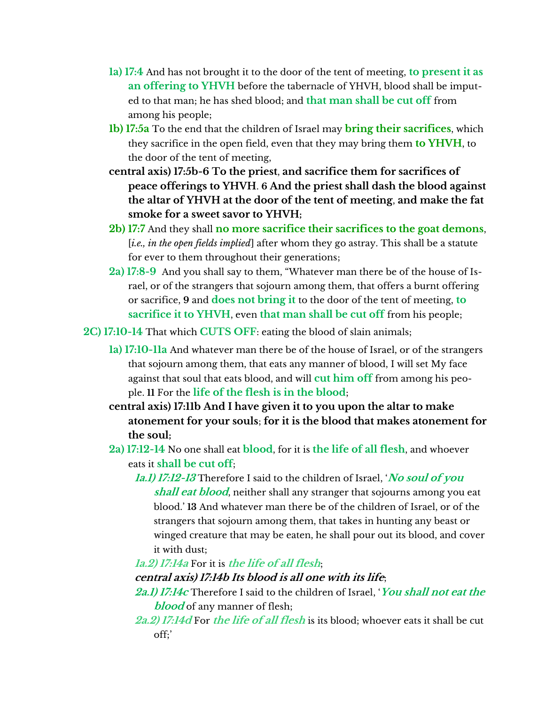- **1a) 17:4** And has not brought it to the door of the tent of meeting, **to present it as an offering to YHVH** before the tabernacle of YHVH, blood shall be imputed to that man; he has shed blood; and **that man shall be cut off** from among his people;
- **1b) 17:5a** To the end that the children of Israel may **bring their sacrifices**, which they sacrifice in the open field, even that they may bring them **to YHVH**, to the door of the tent of meeting,
- **central axis) 17:5b-6 To the priest**, **and sacrifice them for sacrifices of peace offerings to YHVH**. **6 And the priest shall dash the blood against the altar of YHVH at the door of the tent of meeting**, **and make the fat smoke for a sweet savor to YHVH;**
- **2b) 17:7** And they shall **no more sacrifice their sacrifices to the goat demons**, [*i.e., in the open fields implied*] after whom they go astray. This shall be a statute for ever to them throughout their generations;
- **2a) 17:8-9** And you shall say to them, "Whatever man there be of the house of Israel, or of the strangers that sojourn among them, that offers a burnt offering or sacrifice, **9** and **does not bring it** to the door of the tent of meeting, **to sacrifice it to YHVH**, even **that man shall be cut off** from his people;

**2C) 17:10-14** That which **CUTS OFF**: eating the blood of slain animals;

- **1a) 17:10-11a** And whatever man there be of the house of Israel, or of the strangers that sojourn among them, that eats any manner of blood, I will set My face against that soul that eats blood, and will **cut him off** from among his people. **11** For the **life of the flesh is in the blood**;
- **central axis) 17:11b And I have given it to you upon the altar to make atonement for your souls**; **for it is the blood that makes atonement for the soul;**
- **2a) 17:12-14** No one shall eat **blood**, for it is **the life of all flesh**, and whoever eats it **shall be cut off**;
	- **1a.1) 17:12-13** Therefore I said to the children of Israel, '**No soul of you shall eat blood**, neither shall any stranger that sojourns among you eat blood.' **13** And whatever man there be of the children of Israel, or of the strangers that sojourn among them, that takes in hunting any beast or winged creature that may be eaten, he shall pour out its blood, and cover it with dust;

#### **1a.2) 17:14a** For it is **the life of all flesh**;

#### **central axis) 17:14b Its blood is all one with its life**;

**2a.1) 17:14c** Therefore I said to the children of Israel, '**You shall not eat the blood** of any manner of flesh;

**2a.2) 17:14d** For **the life of all flesh** is its blood; whoever eats it shall be cut off;'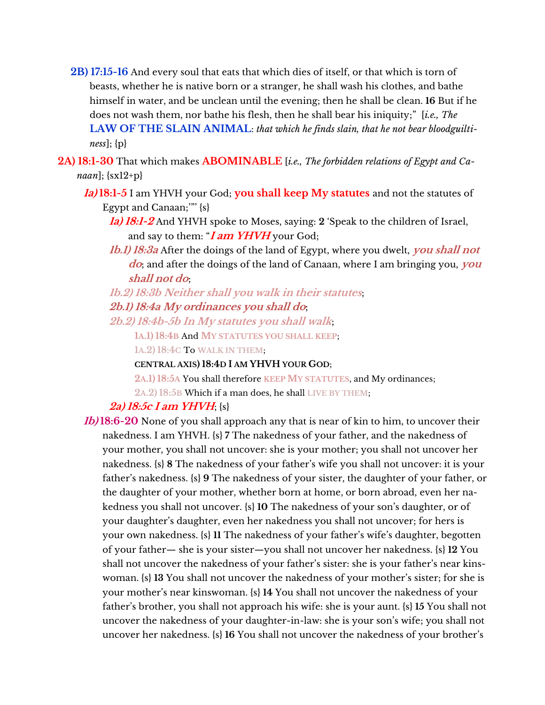- **2B) 17:15-16** And every soul that eats that which dies of itself, or that which is torn of beasts, whether he is native born or a stranger, he shall wash his clothes, and bathe himself in water, and be unclean until the evening; then he shall be clean. **16** But if he does not wash them, nor bathe his flesh, then he shall bear his iniquity;" [*i.e., The* **LAW OF THE SLAIN ANIMAL**: *that which he finds slain, that he not bear bloodguiltiness*]; {p}
- **2A) 18:1-30** That which makes **ABOMINABLE** [*i.e., The forbidden relations of Egypt and Canaan*]; {sx12+p}
	- **1a) 18:1-5** I am YHVH your God; **you shall keep My statutes** and not the statutes of Egypt and Canaan;'"' {s}
		- **1a) 18:1-2** And YHVH spoke to Moses, saying: **2** 'Speak to the children of Israel, and say to them: "**I am YHVH** your God;
		- **1b.1) 18:3a** After the doings of the land of Egypt, where you dwelt, **you shall not do**; and after the doings of the land of Canaan, where I am bringing you, **you shall not do**;

# **1b.2) 18:3b Neither shall you walk in their statutes**; **2b.1) 18:4a My ordinances you shall do**;

**2b.2) 18:4b-5b In My statutes you shall walk**;

**1A.1) 18:4B** And **MY STATUTES YOU SHALL KEEP**;

**1A.2) 18:4C** To **WALK IN THEM**;

#### **CENTRAL AXIS) 18:4D I AM YHVH YOUR GOD**;

**2A.1) 18:5A** You shall therefore **KEEP MY STATUTES**, and My ordinances;

**2A.2) 18:5B** Which if a man does, he shall **LIVE BY THEM**;

## **2a) 18:5c I am YHVH**; {s}

**1b) 18:6-20** None of you shall approach any that is near of kin to him, to uncover their nakedness. I am YHVH. {s} **7** The nakedness of your father, and the nakedness of your mother, you shall not uncover: she is your mother; you shall not uncover her nakedness.  $\{s\}$  **8** The nakedness of your father's wife you shall not uncover: it is your father's nakedness. {s} 9 The nakedness of your sister, the daughter of your father, or the daughter of your mother, whether born at home, or born abroad, even her nakedness you shall not uncover. {s} 10 The nakedness of your son's daughter, or of your daughter's daughter, even her nakedness you shall not uncover; for hers is your own nakedness.  $\{s\}$  11 The nakedness of your father's wife's daughter, begotten of your father— she is your sister—you shall not uncover her nakedness. {s} **12** You shall not uncover the nakedness of your father's sister: she is your father's near kinswoman. {s} 13 You shall not uncover the nakedness of your mother's sister; for she is your mother's near kinswoman. {s} 14 You shall not uncover the nakedness of your father's brother, you shall not approach his wife: she is your aunt. {s} 15 You shall not uncover the nakedness of your daughter-in-law: she is your son's wife; you shall not uncover her nakedness. {s} 16 You shall not uncover the nakedness of your brother's